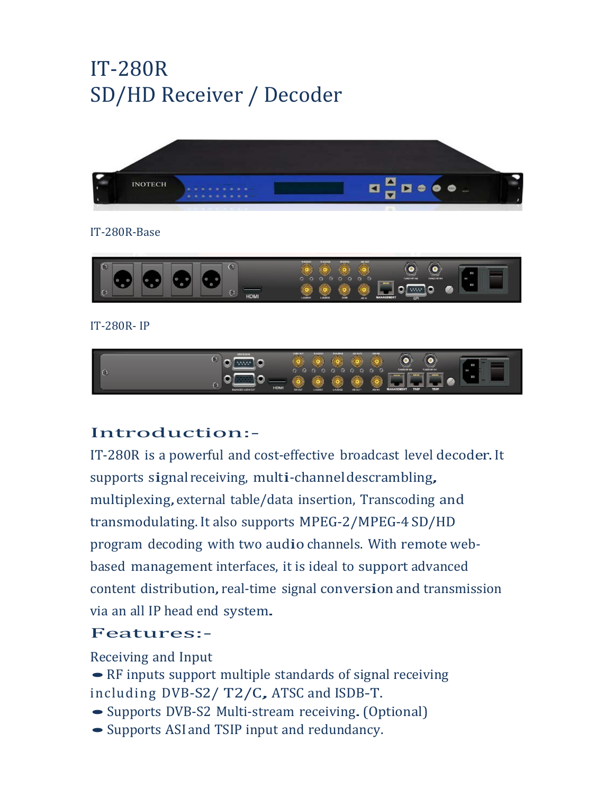# IT-280R SD/HD Receiver / Decoder



#### IT-280R-Base



#### IT-280R- IP



## Introduction:-

IT-280R is a powerful and cost-effective broadcast level decoder.It supports signal receiving, multi-channel descrambling, multiplexing,external table/data insertion, Transcoding and transmodulating.It also supports MPEG-2/MPEG-4 SD/HD program decoding with two audio channels. With remote webbased management interfaces, it is ideal to support advanced content distribution, real-time signal conversion and transmission via an all IP head end system.

### Features:-

Receiving and Input

• RF inputs support multiple standards of signal receiving including DVB-S2/ T2/C, ATSC and ISDB-T.

- Supports DVB-S2 Multi-stream receiving. (Optional)
- Supports ASI and TSIP input and redundancy.